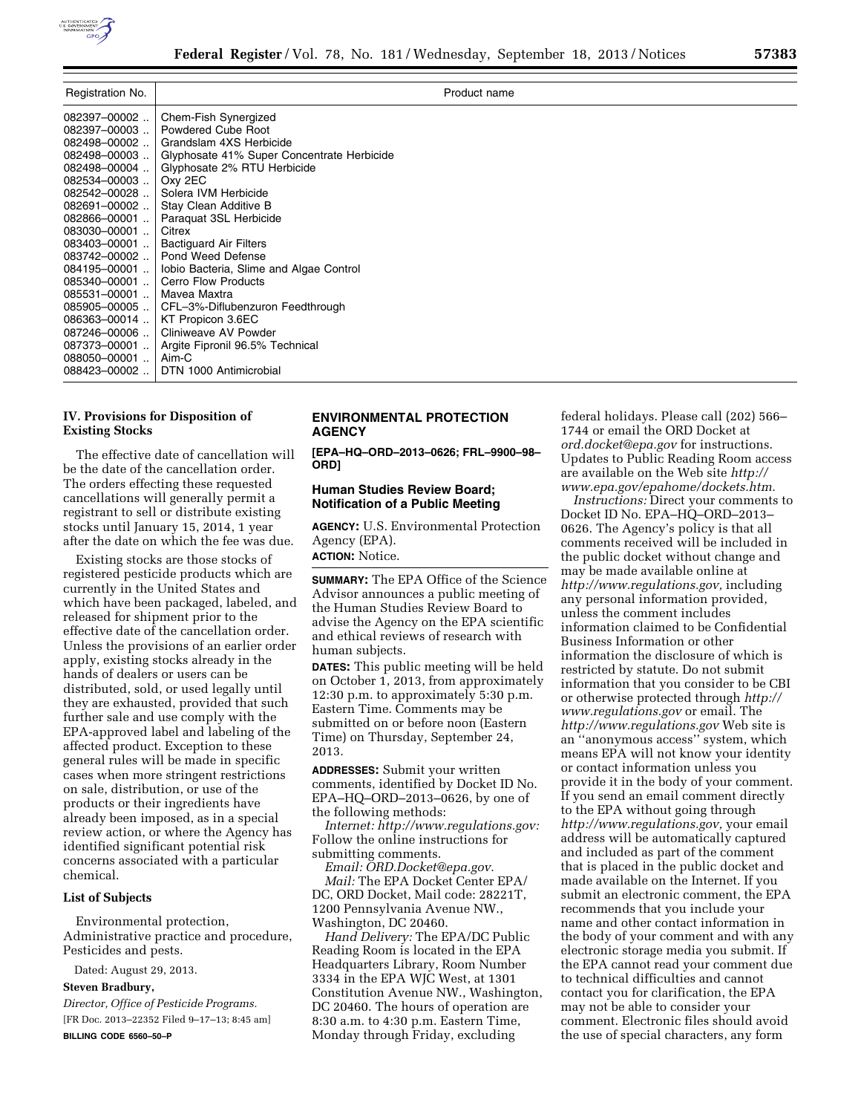

| Registration No.                                                                                                                                                                                                                                                                                                                                             |                                                                                                                                                                                                                                                                                                                                                                                                                                                                                                                                | Product name |
|--------------------------------------------------------------------------------------------------------------------------------------------------------------------------------------------------------------------------------------------------------------------------------------------------------------------------------------------------------------|--------------------------------------------------------------------------------------------------------------------------------------------------------------------------------------------------------------------------------------------------------------------------------------------------------------------------------------------------------------------------------------------------------------------------------------------------------------------------------------------------------------------------------|--------------|
| 082397-00002<br>082397-00003<br>$082498 - 00002$<br>082498-00003<br>082498-00004<br>082534-00003<br>082542-00028<br>$082691 - 00002$<br>082866-00001.<br>083030-00001.<br>083403-00001.<br>$083742 - 00002$<br>$084195 - 00001$<br>$085340 - 00001$<br>$085531 - 00001$<br>$085905 - 00005$<br>086363-00014<br>087246-00006<br>087373-00001<br>088050-00001. | Chem-Fish Synergized<br>Powdered Cube Root<br>Grandslam 4XS Herbicide<br>Glyphosate 41% Super Concentrate Herbicide<br>Glyphosate 2% RTU Herbicide<br>Oxy 2EC<br>Solera IVM Herbicide<br>Stay Clean Additive B<br>Paraguat 3SL Herbicide<br>Citrex<br><b>Bactiguard Air Filters</b><br>Pond Weed Defense<br>Jobio Bacteria, Slime and Algae Control<br><b>Cerro Flow Products</b><br>Mavea Maxtra<br>CFL-3%-Diflubenzuron Feedthrough<br>KT Propicon 3.6EC<br>Cliniweave AV Powder<br>Argite Fipronil 96.5% Technical<br>Aim-C |              |
| 088423-00002                                                                                                                                                                                                                                                                                                                                                 | DTN 1000 Antimicrobial                                                                                                                                                                                                                                                                                                                                                                                                                                                                                                         |              |

# **IV. Provisions for Disposition of Existing Stocks**

The effective date of cancellation will be the date of the cancellation order. The orders effecting these requested cancellations will generally permit a registrant to sell or distribute existing stocks until January 15, 2014, 1 year after the date on which the fee was due.

Existing stocks are those stocks of registered pesticide products which are currently in the United States and which have been packaged, labeled, and released for shipment prior to the effective date of the cancellation order. Unless the provisions of an earlier order apply, existing stocks already in the hands of dealers or users can be distributed, sold, or used legally until they are exhausted, provided that such further sale and use comply with the EPA-approved label and labeling of the affected product. Exception to these general rules will be made in specific cases when more stringent restrictions on sale, distribution, or use of the products or their ingredients have already been imposed, as in a special review action, or where the Agency has identified significant potential risk concerns associated with a particular chemical.

# **List of Subjects**

Environmental protection, Administrative practice and procedure, Pesticides and pests.

Dated: August 29, 2013.

#### **Steven Bradbury,**

*Director, Office of Pesticide Programs.*  [FR Doc. 2013–22352 Filed 9–17–13; 8:45 am] **BILLING CODE 6560–50–P** 

# **ENVIRONMENTAL PROTECTION AGENCY**

**[EPA–HQ–ORD–2013–0626; FRL–9900–98– ORD]** 

### **Human Studies Review Board; Notification of a Public Meeting**

**AGENCY:** U.S. Environmental Protection Agency (EPA). **ACTION:** Notice.

**SUMMARY:** The EPA Office of the Science Advisor announces a public meeting of the Human Studies Review Board to advise the Agency on the EPA scientific and ethical reviews of research with human subjects.

**DATES:** This public meeting will be held on October 1, 2013, from approximately 12:30 p.m. to approximately 5:30 p.m. Eastern Time. Comments may be submitted on or before noon (Eastern Time) on Thursday, September 24, 2013.

**ADDRESSES:** Submit your written comments, identified by Docket ID No. EPA–HQ–ORD–2013–0626, by one of the following methods:

*Internet: [http://www.regulations.gov:](http://www.regulations.gov)*  Follow the online instructions for submitting comments.

*Email: [ORD.Docket@epa.gov.](mailto:ORD.Docket@epa.gov)  Mail:* The EPA Docket Center EPA/ DC, ORD Docket, Mail code: 28221T, 1200 Pennsylvania Avenue NW., Washington, DC 20460.

*Hand Delivery:* The EPA/DC Public Reading Room is located in the EPA Headquarters Library, Room Number 3334 in the EPA WJC West, at 1301 Constitution Avenue NW., Washington, DC 20460. The hours of operation are 8:30 a.m. to 4:30 p.m. Eastern Time, Monday through Friday, excluding

federal holidays. Please call (202) 566– 1744 or email the ORD Docket at *[ord.docket@epa.gov](mailto:ord.docket@epa.gov)* for instructions. Updates to Public Reading Room access are available on the Web site *[http://](http://www.epa.gov/epahome/dockets.htm) [www.epa.gov/epahome/dockets.htm.](http://www.epa.gov/epahome/dockets.htm)* 

*Instructions:* Direct your comments to Docket ID No. EPA–HQ–ORD–2013– 0626. The Agency's policy is that all comments received will be included in the public docket without change and may be made available online at *[http://www.regulations.gov,](http://www.regulations.gov)* including any personal information provided, unless the comment includes information claimed to be Confidential Business Information or other information the disclosure of which is restricted by statute. Do not submit information that you consider to be CBI or otherwise protected through *[http://](http://www.regulations.gov) [www.regulations.gov](http://www.regulations.gov)* or email. The *<http://www.regulations.gov>* Web site is an ''anonymous access'' system, which means EPA will not know your identity or contact information unless you provide it in the body of your comment. If you send an email comment directly to the EPA without going through *[http://www.regulations.gov,](http://www.regulations.gov)* your email address will be automatically captured and included as part of the comment that is placed in the public docket and made available on the Internet. If you submit an electronic comment, the EPA recommends that you include your name and other contact information in the body of your comment and with any electronic storage media you submit. If the EPA cannot read your comment due to technical difficulties and cannot contact you for clarification, the EPA may not be able to consider your comment. Electronic files should avoid the use of special characters, any form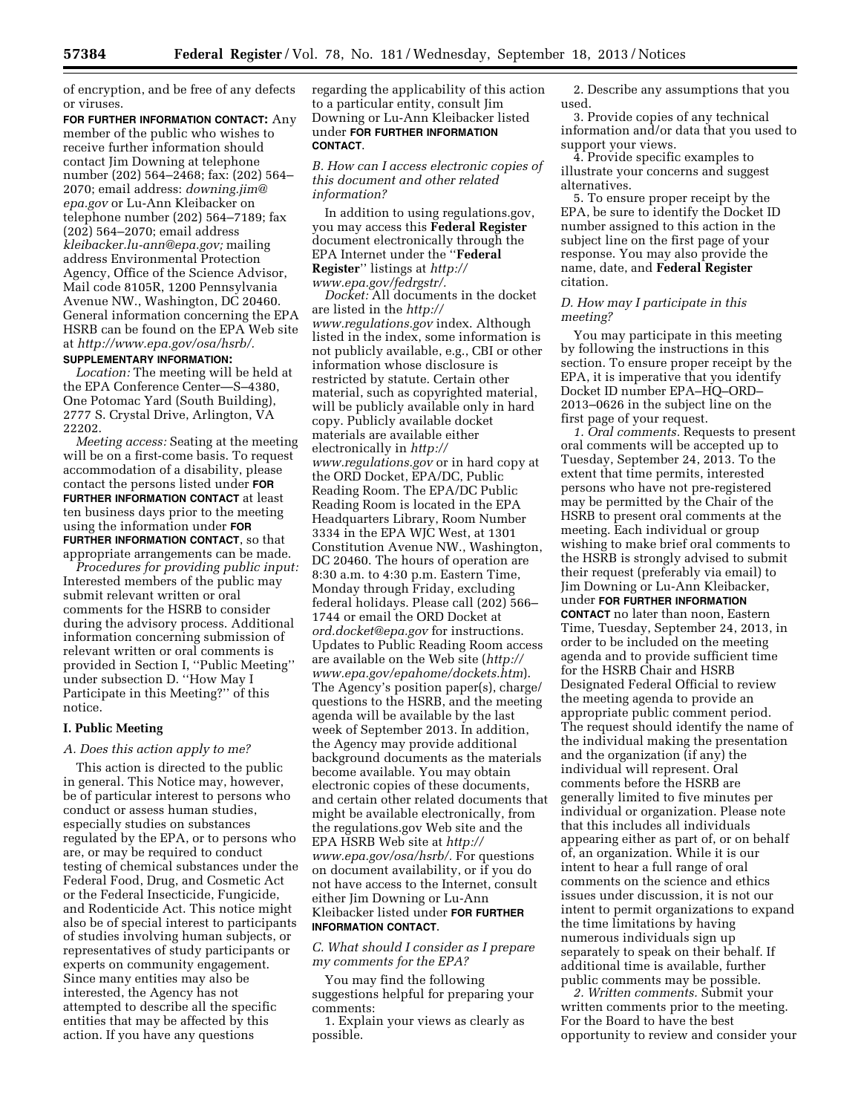of encryption, and be free of any defects or viruses.

**FOR FURTHER INFORMATION CONTACT:** Any member of the public who wishes to receive further information should contact Jim Downing at telephone number (202) 564–2468; fax: (202) 564– 2070; email address: *[downing.jim@](mailto:downing.jim@epa.gov) [epa.gov](mailto:downing.jim@epa.gov)* or Lu-Ann Kleibacker on telephone number (202) 564–7189; fax (202) 564–2070; email address *[kleibacker.lu-ann@epa.gov;](mailto:kleibacker.lu-ann@epa.gov)* mailing address Environmental Protection Agency, Office of the Science Advisor, Mail code 8105R, 1200 Pennsylvania Avenue NW., Washington, DC 20460. General information concerning the EPA HSRB can be found on the EPA Web site at *[http://www.epa.gov/osa/hsrb/.](http://www.epa.gov/osa/hsrb/)* 

## **SUPPLEMENTARY INFORMATION:**

*Location:* The meeting will be held at the EPA Conference Center—S–4380, One Potomac Yard (South Building), 2777 S. Crystal Drive, Arlington, VA 22202.

*Meeting access:* Seating at the meeting will be on a first-come basis. To request accommodation of a disability, please contact the persons listed under **FOR FURTHER INFORMATION CONTACT** at least ten business days prior to the meeting using the information under **FOR FURTHER INFORMATION CONTACT**, so that appropriate arrangements can be made.

*Procedures for providing public input:*  Interested members of the public may submit relevant written or oral comments for the HSRB to consider during the advisory process. Additional information concerning submission of relevant written or oral comments is provided in Section I, ''Public Meeting'' under subsection D. ''How May I Participate in this Meeting?'' of this notice.

#### **I. Public Meeting**

#### *A. Does this action apply to me?*

This action is directed to the public in general. This Notice may, however, be of particular interest to persons who conduct or assess human studies, especially studies on substances regulated by the EPA, or to persons who are, or may be required to conduct testing of chemical substances under the Federal Food, Drug, and Cosmetic Act or the Federal Insecticide, Fungicide, and Rodenticide Act. This notice might also be of special interest to participants of studies involving human subjects, or representatives of study participants or experts on community engagement. Since many entities may also be interested, the Agency has not attempted to describe all the specific entities that may be affected by this action. If you have any questions

regarding the applicability of this action to a particular entity, consult Jim Downing or Lu-Ann Kleibacker listed under **FOR FURTHER INFORMATION CONTACT**.

*B. How can I access electronic copies of this document and other related information?* 

In addition to using regulations.gov, you may access this **Federal Register**  document electronically through the EPA Internet under the ''**Federal Register**'' listings at *[http://](http://www.epa.gov/fedrgstr/) [www.epa.gov/fedrgstr/.](http://www.epa.gov/fedrgstr/)* 

*Docket:* All documents in the docket are listed in the *[http://](http://www.regulations.gov) [www.regulations.gov](http://www.regulations.gov)* index. Although listed in the index, some information is not publicly available, e.g., CBI or other information whose disclosure is restricted by statute. Certain other material, such as copyrighted material, will be publicly available only in hard copy. Publicly available docket materials are available either electronically in *[http://](http://www.regulations.gov) [www.regulations.gov](http://www.regulations.gov)* or in hard copy at the ORD Docket, EPA/DC, Public Reading Room. The EPA/DC Public Reading Room is located in the EPA Headquarters Library, Room Number 3334 in the EPA WJC West, at 1301 Constitution Avenue NW., Washington, DC 20460. The hours of operation are 8:30 a.m. to 4:30 p.m. Eastern Time, Monday through Friday, excluding federal holidays. Please call (202) 566– 1744 or email the ORD Docket at *[ord.docket@epa.gov](mailto:ord.docket@epa.gov)* for instructions. Updates to Public Reading Room access are available on the Web site (*[http://](http://www.epa.gov/epahome/dockets.htm) [www.epa.gov/epahome/dockets.htm](http://www.epa.gov/epahome/dockets.htm)*). The Agency's position paper(s), charge/ questions to the HSRB, and the meeting agenda will be available by the last week of September 2013. In addition, the Agency may provide additional background documents as the materials become available. You may obtain electronic copies of these documents, and certain other related documents that might be available electronically, from the regulations.gov Web site and the EPA HSRB Web site at *[http://](http://www.epa.gov/osa/hsrb/) [www.epa.gov/osa/hsrb/.](http://www.epa.gov/osa/hsrb/)* For questions on document availability, or if you do not have access to the Internet, consult either Jim Downing or Lu-Ann Kleibacker listed under **FOR FURTHER INFORMATION CONTACT**.

*C. What should I consider as I prepare my comments for the EPA?* 

You may find the following suggestions helpful for preparing your comments:

1. Explain your views as clearly as possible.

2. Describe any assumptions that you used.

3. Provide copies of any technical information and/or data that you used to support your views.

4. Provide specific examples to illustrate your concerns and suggest alternatives.

5. To ensure proper receipt by the EPA, be sure to identify the Docket ID number assigned to this action in the subject line on the first page of your response. You may also provide the name, date, and **Federal Register**  citation.

#### *D. How may I participate in this meeting?*

You may participate in this meeting by following the instructions in this section. To ensure proper receipt by the EPA, it is imperative that you identify Docket ID number EPA–HQ–ORD– 2013–0626 in the subject line on the first page of your request.

*1. Oral comments.* Requests to present oral comments will be accepted up to Tuesday, September 24, 2013. To the extent that time permits, interested persons who have not pre-registered may be permitted by the Chair of the HSRB to present oral comments at the meeting. Each individual or group wishing to make brief oral comments to the HSRB is strongly advised to submit their request (preferably via email) to Jim Downing or Lu-Ann Kleibacker, under **FOR FURTHER INFORMATION CONTACT** no later than noon, Eastern Time, Tuesday, September 24, 2013, in order to be included on the meeting agenda and to provide sufficient time for the HSRB Chair and HSRB Designated Federal Official to review the meeting agenda to provide an appropriate public comment period. The request should identify the name of the individual making the presentation and the organization (if any) the individual will represent. Oral comments before the HSRB are generally limited to five minutes per individual or organization. Please note that this includes all individuals appearing either as part of, or on behalf of, an organization. While it is our intent to hear a full range of oral comments on the science and ethics issues under discussion, it is not our intent to permit organizations to expand the time limitations by having numerous individuals sign up separately to speak on their behalf. If additional time is available, further public comments may be possible.

*2. Written comments.* Submit your written comments prior to the meeting. For the Board to have the best opportunity to review and consider your